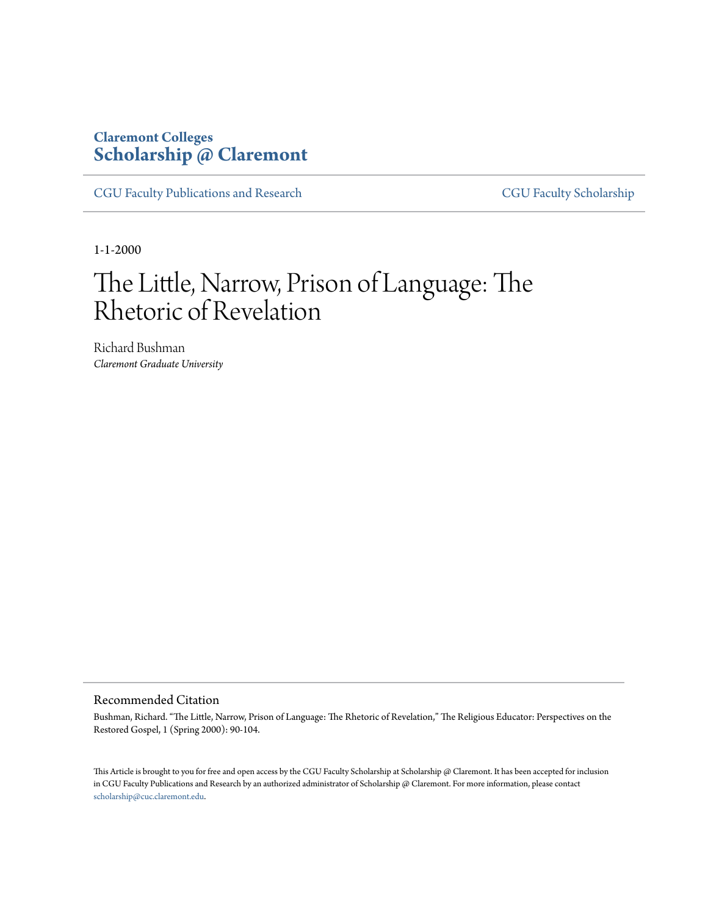## **Claremont Colleges [Scholarship @ Claremont](http://scholarship.claremont.edu)**

[CGU Faculty Publications and Research](http://scholarship.claremont.edu/cgu_fac_pub) [CGU Faculty Scholarship](http://scholarship.claremont.edu/cgu_faculty)

1-1-2000

# The Little, Narrow, Prison of Language: The Rhetoric of Revelation

Richard Bushman *Claremont Graduate University*

#### Recommended Citation

Bushman, Richard. "The Little, Narrow, Prison of Language: The Rhetoric of Revelation," The Religious Educator: Perspectives on the Restored Gospel, 1 (Spring 2000): 90-104.

This Article is brought to you for free and open access by the CGU Faculty Scholarship at Scholarship @ Claremont. It has been accepted for inclusion in CGU Faculty Publications and Research by an authorized administrator of Scholarship @ Claremont. For more information, please contact [scholarship@cuc.claremont.edu.](mailto:scholarship@cuc.claremont.edu)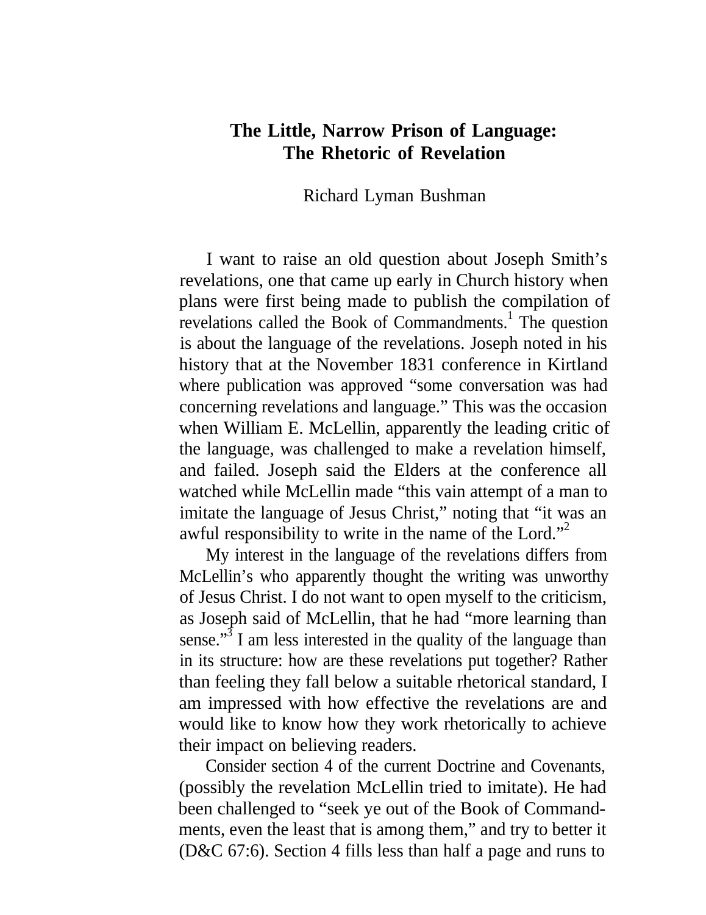## **The Little, Narrow Prison of Language: The Rhetoric of Revelation**

Richard Lyman Bushman

I want to raise an old question about Joseph Smith's revelations, one that came up early in Church history when plans were first being made to publish the compilation of revelations called the Book of Commandments.<sup>1</sup> The question is about the language of the revelations. Joseph noted in his history that at the November 1831 conference in Kirtland where publication was approved "some conversation was had concerning revelations and language." This was the occasion when William E. McLellin, apparently the leading critic of the language, was challenged to make a revelation himself, and failed. Joseph said the Elders at the conference all watched while McLellin made "this vain attempt of a man to imitate the language of Jesus Christ," noting that "it was an awful responsibility to write in the name of the Lord."<sup>2</sup>

My interest in the language of the revelations differs from McLellin's who apparently thought the writing was unworthy of Jesus Christ. I do not want to open myself to the criticism, as Joseph said of McLellin, that he had "more learning than sense."<sup>3</sup> I am less interested in the quality of the language than in its structure: how are these revelations put together? Rather than feeling they fall below a suitable rhetorical standard, I am impressed with how effective the revelations are and would like to know how they work rhetorically to achieve their impact on believing readers.

Consider section 4 of the current Doctrine and Covenants, (possibly the revelation McLellin tried to imitate). He had been challenged to "seek ye out of the Book of Commandments, even the least that is among them," and try to better it (D&C 67:6). Section 4 fills less than half a page and runs to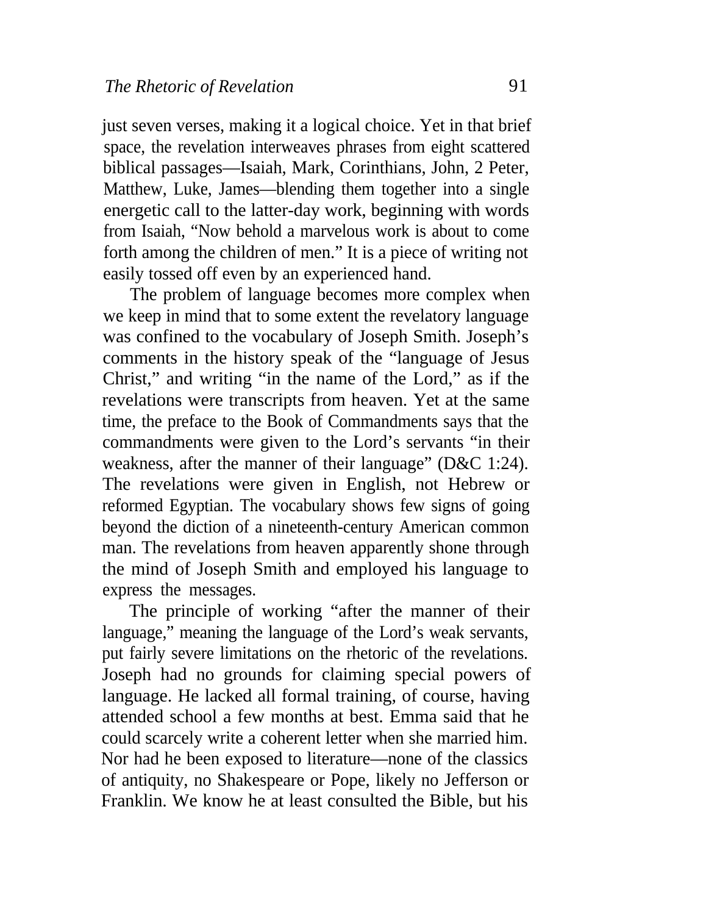just seven verses, making it a logical choice. Yet in that brief space, the revelation interweaves phrases from eight scattered biblical passages—Isaiah, Mark, Corinthians, John, 2 Peter, Matthew, Luke, James—blending them together into a single energetic call to the latter-day work, beginning with words from Isaiah, "Now behold a marvelous work is about to come forth among the children of men." It is a piece of writing not easily tossed off even by an experienced hand.

The problem of language becomes more complex when we keep in mind that to some extent the revelatory language was confined to the vocabulary of Joseph Smith. Joseph's comments in the history speak of the "language of Jesus Christ," and writing "in the name of the Lord," as if the revelations were transcripts from heaven. Yet at the same time, the preface to the Book of Commandments says that the commandments were given to the Lord's servants "in their weakness, after the manner of their language" (D&C 1:24). The revelations were given in English, not Hebrew or reformed Egyptian. The vocabulary shows few signs of going beyond the diction of a nineteenth-century American common man. The revelations from heaven apparently shone through the mind of Joseph Smith and employed his language to express the messages.

The principle of working "after the manner of their language," meaning the language of the Lord's weak servants, put fairly severe limitations on the rhetoric of the revelations. Joseph had no grounds for claiming special powers of language. He lacked all formal training, of course, having attended school a few months at best. Emma said that he could scarcely write a coherent letter when she married him. Nor had he been exposed to literature—none of the classics of antiquity, no Shakespeare or Pope, likely no Jefferson or Franklin. We know he at least consulted the Bible, but his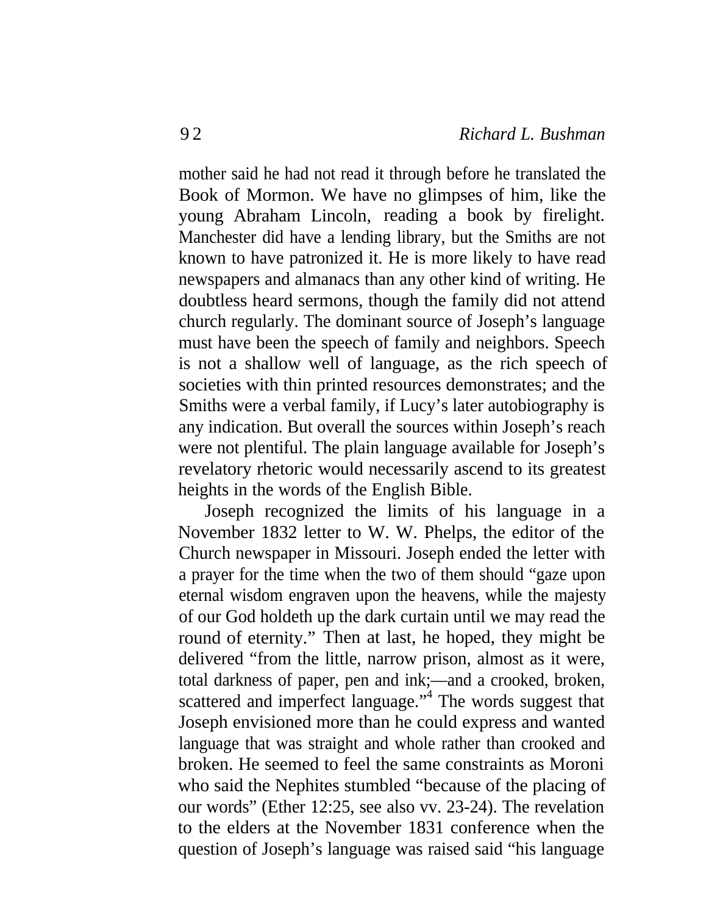mother said he had not read it through before he translated the Book of Mormon. We have no glimpses of him, like the young Abraham Lincoln, reading a book by firelight. Manchester did have a lending library, but the Smiths are not known to have patronized it. He is more likely to have read newspapers and almanacs than any other kind of writing. He doubtless heard sermons, though the family did not attend church regularly. The dominant source of Joseph's language must have been the speech of family and neighbors. Speech is not a shallow well of language, as the rich speech of societies with thin printed resources demonstrates; and the Smiths were a verbal family, if Lucy's later autobiography is any indication. But overall the sources within Joseph's reach were not plentiful. The plain language available for Joseph's revelatory rhetoric would necessarily ascend to its greatest heights in the words of the English Bible.

Joseph recognized the limits of his language in a November 1832 letter to W. W. Phelps, the editor of the Church newspaper in Missouri. Joseph ended the letter with a prayer for the time when the two of them should "gaze upon eternal wisdom engraven upon the heavens, while the majesty of our God holdeth up the dark curtain until we may read the round of eternity." Then at last, he hoped, they might be delivered "from the little, narrow prison, almost as it were, total darkness of paper, pen and ink;—and a crooked, broken, scattered and imperfect language."<sup>4</sup> The words suggest that Joseph envisioned more than he could express and wanted language that was straight and whole rather than crooked and broken. He seemed to feel the same constraints as Moroni who said the Nephites stumbled "because of the placing of our words" (Ether 12:25, see also vv. 23-24). The revelation to the elders at the November 1831 conference when the question of Joseph's language was raised said "his language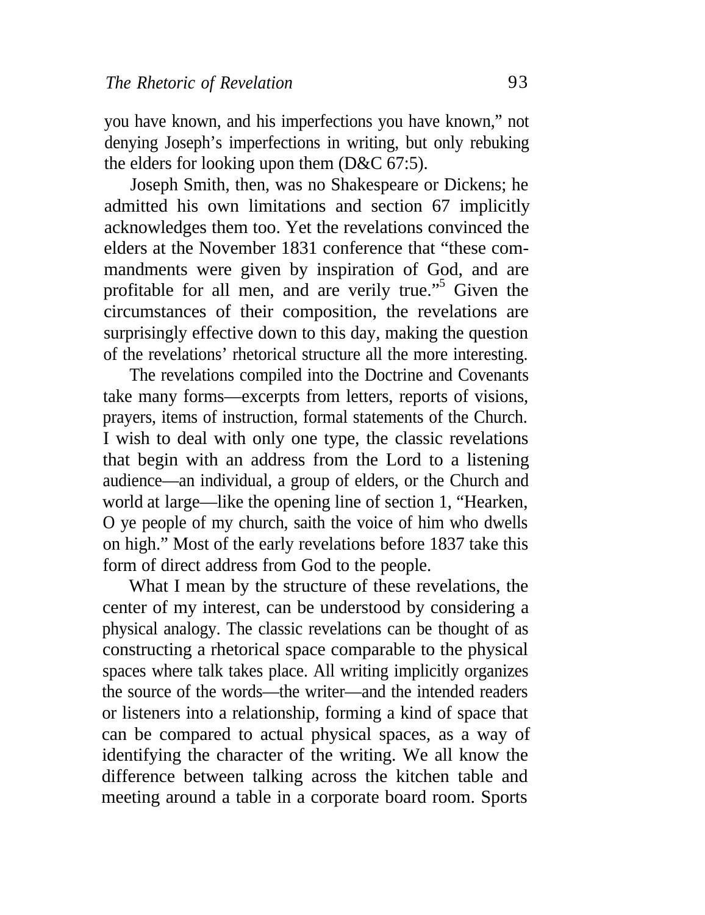you have known, and his imperfections you have known," not denying Joseph's imperfections in writing, but only rebuking the elders for looking upon them (D&C 67:5).

Joseph Smith, then, was no Shakespeare or Dickens; he admitted his own limitations and section 67 implicitly acknowledges them too. Yet the revelations convinced the elders at the November 1831 conference that "these commandments were given by inspiration of God, and are profitable for all men, and are verily true."<sup>5</sup> Given the circumstances of their composition, the revelations are surprisingly effective down to this day, making the question of the revelations' rhetorical structure all the more interesting.

The revelations compiled into the Doctrine and Covenants take many forms—excerpts from letters, reports of visions, prayers, items of instruction, formal statements of the Church. I wish to deal with only one type, the classic revelations that begin with an address from the Lord to a listening audience—an individual, a group of elders, or the Church and world at large—like the opening line of section 1, "Hearken, O ye people of my church, saith the voice of him who dwells on high." Most of the early revelations before 1837 take this form of direct address from God to the people.

What I mean by the structure of these revelations, the center of my interest, can be understood by considering a physical analogy. The classic revelations can be thought of as constructing a rhetorical space comparable to the physical spaces where talk takes place. All writing implicitly organizes the source of the words—the writer—and the intended readers or listeners into a relationship, forming a kind of space that can be compared to actual physical spaces, as a way of identifying the character of the writing. We all know the difference between talking across the kitchen table and meeting around a table in a corporate board room. Sports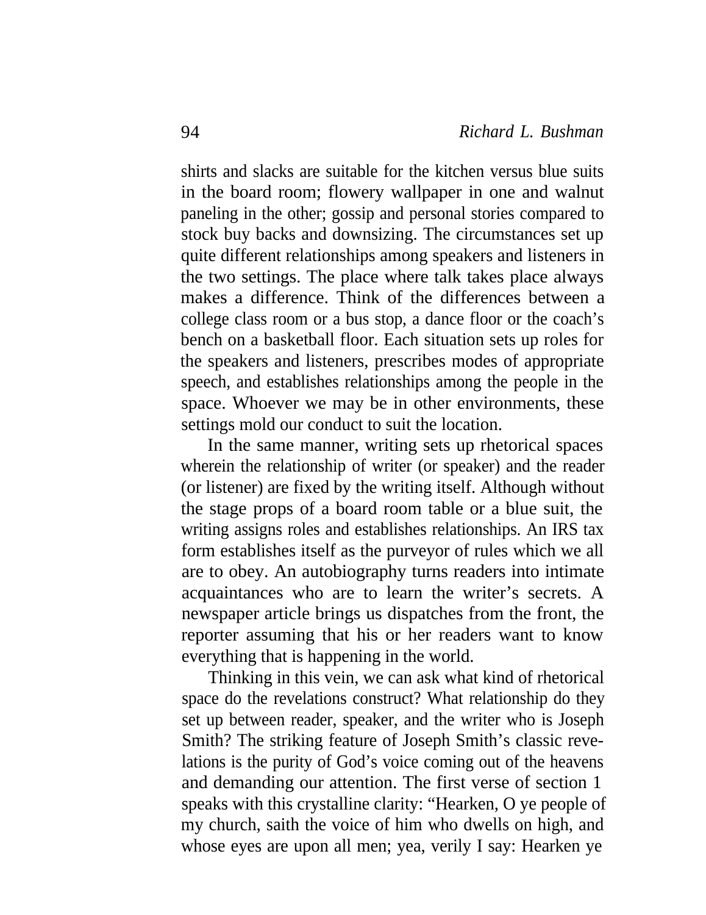shirts and slacks are suitable for the kitchen versus blue suits in the board room; flowery wallpaper in one and walnut paneling in the other; gossip and personal stories compared to stock buy backs and downsizing. The circumstances set up quite different relationships among speakers and listeners in the two settings. The place where talk takes place always makes a difference. Think of the differences between a college class room or a bus stop, a dance floor or the coach's bench on a basketball floor. Each situation sets up roles for the speakers and listeners, prescribes modes of appropriate speech, and establishes relationships among the people in the space. Whoever we may be in other environments, these settings mold our conduct to suit the location.

In the same manner, writing sets up rhetorical spaces wherein the relationship of writer (or speaker) and the reader (or listener) are fixed by the writing itself. Although without the stage props of a board room table or a blue suit, the writing assigns roles and establishes relationships. An IRS tax form establishes itself as the purveyor of rules which we all are to obey. An autobiography turns readers into intimate acquaintances who are to learn the writer's secrets. A newspaper article brings us dispatches from the front, the reporter assuming that his or her readers want to know everything that is happening in the world.

Thinking in this vein, we can ask what kind of rhetorical space do the revelations construct? What relationship do they set up between reader, speaker, and the writer who is Joseph Smith? The striking feature of Joseph Smith's classic revelations is the purity of God's voice coming out of the heavens and demanding our attention. The first verse of section 1 speaks with this crystalline clarity: "Hearken, O ye people of my church, saith the voice of him who dwells on high, and whose eyes are upon all men; yea, verily I say: Hearken ye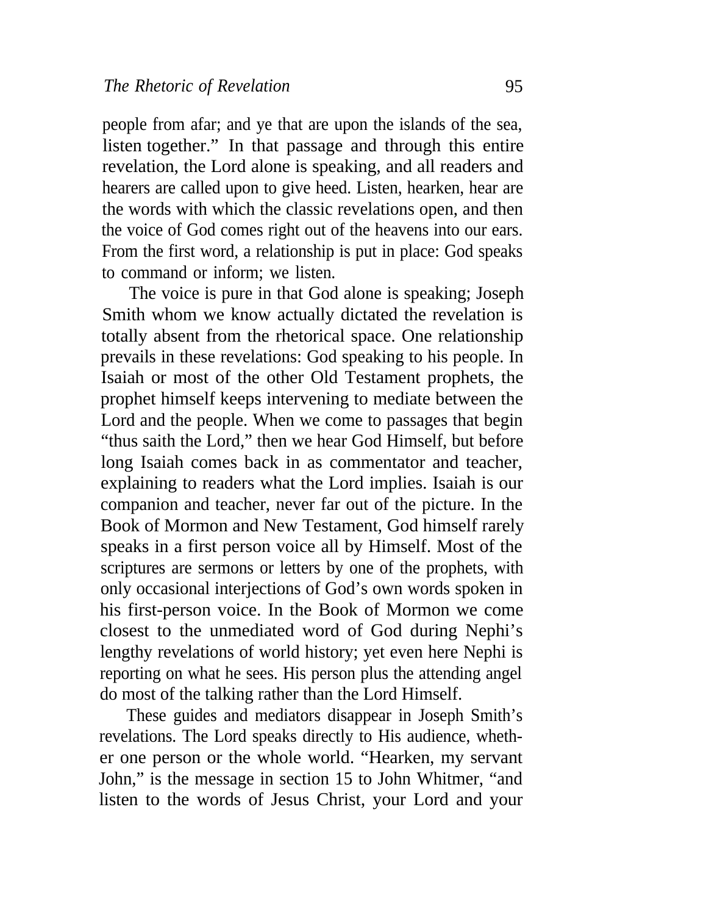people from afar; and ye that are upon the islands of the sea, listen together." In that passage and through this entire revelation, the Lord alone is speaking, and all readers and hearers are called upon to give heed. Listen, hearken, hear are the words with which the classic revelations open, and then the voice of God comes right out of the heavens into our ears. From the first word, a relationship is put in place: God speaks to command or inform; we listen.

The voice is pure in that God alone is speaking; Joseph Smith whom we know actually dictated the revelation is totally absent from the rhetorical space. One relationship prevails in these revelations: God speaking to his people. In Isaiah or most of the other Old Testament prophets, the prophet himself keeps intervening to mediate between the Lord and the people. When we come to passages that begin "thus saith the Lord," then we hear God Himself, but before long Isaiah comes back in as commentator and teacher, explaining to readers what the Lord implies. Isaiah is our companion and teacher, never far out of the picture. In the Book of Mormon and New Testament, God himself rarely speaks in a first person voice all by Himself. Most of the scriptures are sermons or letters by one of the prophets, with only occasional interjections of God's own words spoken in his first-person voice. In the Book of Mormon we come closest to the unmediated word of God during Nephi's lengthy revelations of world history; yet even here Nephi is reporting on what he sees. His person plus the attending angel do most of the talking rather than the Lord Himself.

These guides and mediators disappear in Joseph Smith's revelations. The Lord speaks directly to His audience, whether one person or the whole world. "Hearken, my servant John," is the message in section 15 to John Whitmer, "and listen to the words of Jesus Christ, your Lord and your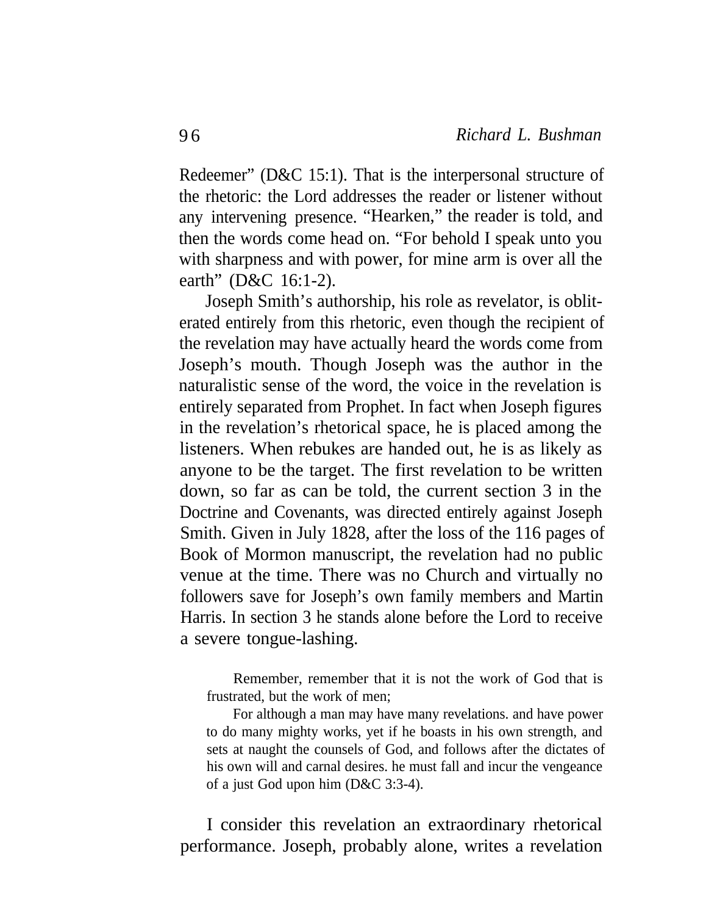Redeemer" (D&C 15:1). That is the interpersonal structure of the rhetoric: the Lord addresses the reader or listener without any intervening presence. "Hearken," the reader is told, and then the words come head on. "For behold I speak unto you with sharpness and with power, for mine arm is over all the earth" (D&C 16:1-2).

Joseph Smith's authorship, his role as revelator, is obliterated entirely from this rhetoric, even though the recipient of the revelation may have actually heard the words come from Joseph's mouth. Though Joseph was the author in the naturalistic sense of the word, the voice in the revelation is entirely separated from Prophet. In fact when Joseph figures in the revelation's rhetorical space, he is placed among the listeners. When rebukes are handed out, he is as likely as anyone to be the target. The first revelation to be written down, so far as can be told, the current section 3 in the Doctrine and Covenants, was directed entirely against Joseph Smith. Given in July 1828, after the loss of the 116 pages of Book of Mormon manuscript, the revelation had no public venue at the time. There was no Church and virtually no followers save for Joseph's own family members and Martin Harris. In section 3 he stands alone before the Lord to receive a severe tongue-lashing.

Remember, remember that it is not the work of God that is frustrated, but the work of men;

For although a man may have many revelations. and have power to do many mighty works, yet if he boasts in his own strength, and sets at naught the counsels of God, and follows after the dictates of his own will and carnal desires. he must fall and incur the vengeance of a just God upon him (D&C 3:3-4).

I consider this revelation an extraordinary rhetorical performance. Joseph, probably alone, writes a revelation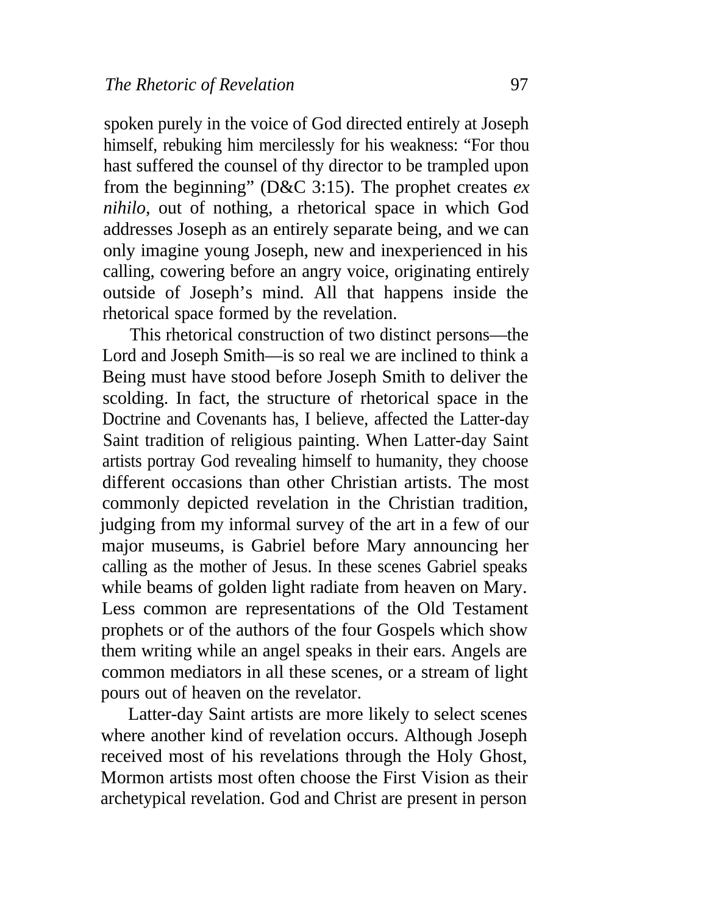spoken purely in the voice of God directed entirely at Joseph himself, rebuking him mercilessly for his weakness: "For thou hast suffered the counsel of thy director to be trampled upon from the beginning" (D&C 3:15). The prophet creates *ex nihilo,* out of nothing, a rhetorical space in which God addresses Joseph as an entirely separate being, and we can only imagine young Joseph, new and inexperienced in his calling, cowering before an angry voice, originating entirely outside of Joseph's mind. All that happens inside the rhetorical space formed by the revelation.

This rhetorical construction of two distinct persons—the Lord and Joseph Smith—is so real we are inclined to think a Being must have stood before Joseph Smith to deliver the scolding. In fact, the structure of rhetorical space in the Doctrine and Covenants has, I believe, affected the Latter-day Saint tradition of religious painting. When Latter-day Saint artists portray God revealing himself to humanity, they choose different occasions than other Christian artists. The most commonly depicted revelation in the Christian tradition, judging from my informal survey of the art in a few of our major museums, is Gabriel before Mary announcing her calling as the mother of Jesus. In these scenes Gabriel speaks while beams of golden light radiate from heaven on Mary. Less common are representations of the Old Testament prophets or of the authors of the four Gospels which show them writing while an angel speaks in their ears. Angels are common mediators in all these scenes, or a stream of light pours out of heaven on the revelator.

Latter-day Saint artists are more likely to select scenes where another kind of revelation occurs. Although Joseph received most of his revelations through the Holy Ghost, Mormon artists most often choose the First Vision as their archetypical revelation. God and Christ are present in person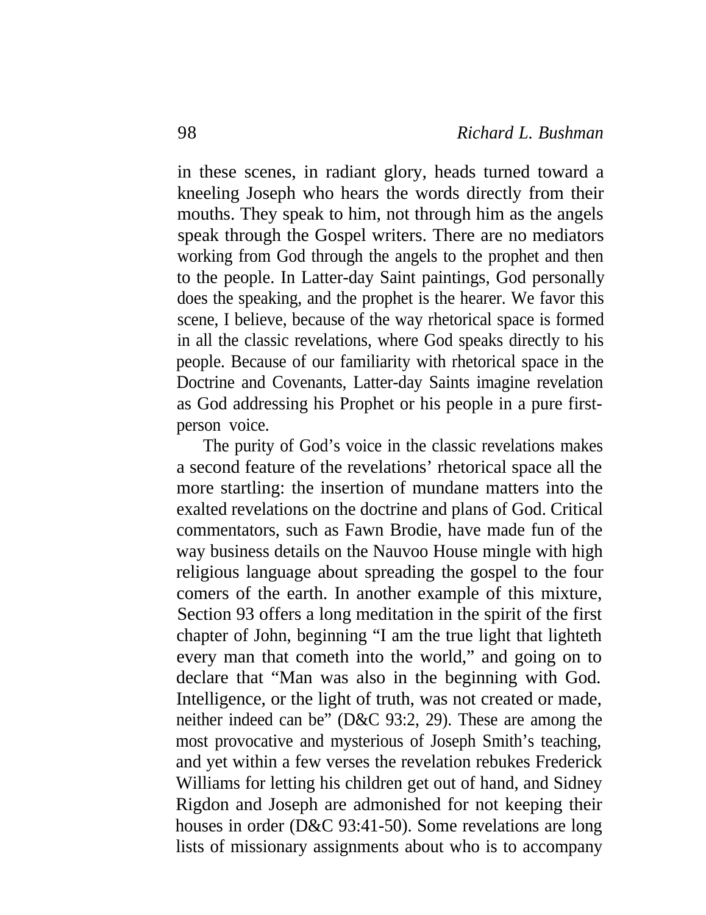in these scenes, in radiant glory, heads turned toward a kneeling Joseph who hears the words directly from their mouths. They speak to him, not through him as the angels speak through the Gospel writers. There are no mediators working from God through the angels to the prophet and then to the people. In Latter-day Saint paintings, God personally does the speaking, and the prophet is the hearer. We favor this scene, I believe, because of the way rhetorical space is formed in all the classic revelations, where God speaks directly to his people. Because of our familiarity with rhetorical space in the Doctrine and Covenants, Latter-day Saints imagine revelation as God addressing his Prophet or his people in a pure firstperson voice.

The purity of God's voice in the classic revelations makes a second feature of the revelations' rhetorical space all the more startling: the insertion of mundane matters into the exalted revelations on the doctrine and plans of God. Critical commentators, such as Fawn Brodie, have made fun of the way business details on the Nauvoo House mingle with high religious language about spreading the gospel to the four comers of the earth. In another example of this mixture, Section 93 offers a long meditation in the spirit of the first chapter of John, beginning "I am the true light that lighteth every man that cometh into the world," and going on to declare that "Man was also in the beginning with God. Intelligence, or the light of truth, was not created or made, neither indeed can be" (D&C 93:2, 29). These are among the most provocative and mysterious of Joseph Smith's teaching, and yet within a few verses the revelation rebukes Frederick Williams for letting his children get out of hand, and Sidney Rigdon and Joseph are admonished for not keeping their houses in order (D&C 93:41-50). Some revelations are long lists of missionary assignments about who is to accompany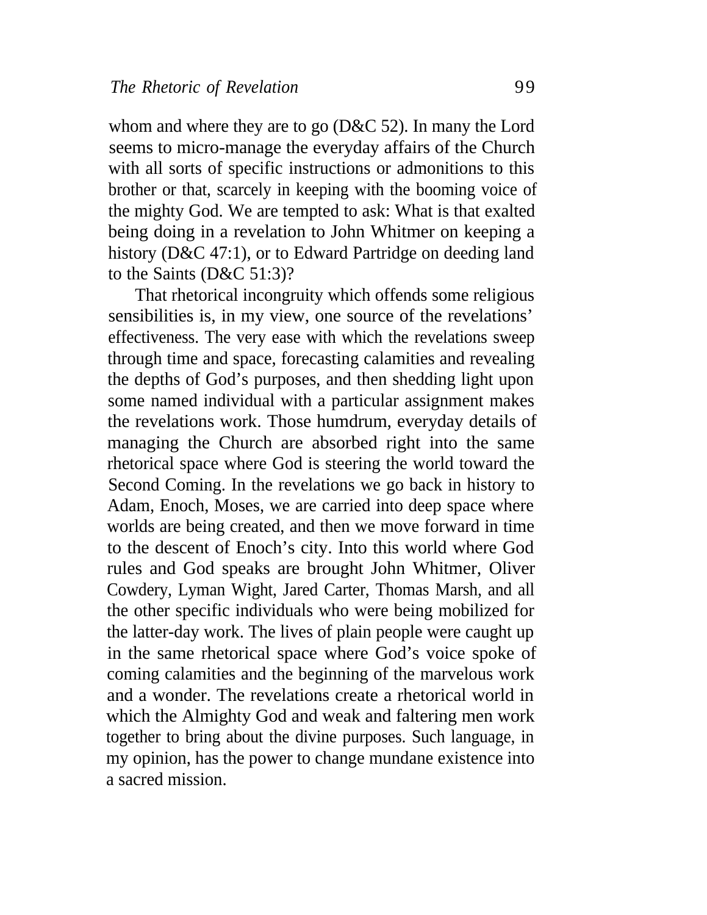whom and where they are to go (D&C 52). In many the Lord seems to micro-manage the everyday affairs of the Church with all sorts of specific instructions or admonitions to this brother or that, scarcely in keeping with the booming voice of the mighty God. We are tempted to ask: What is that exalted being doing in a revelation to John Whitmer on keeping a history (D&C 47:1), or to Edward Partridge on deeding land to the Saints (D&C 51:3)?

That rhetorical incongruity which offends some religious sensibilities is, in my view, one source of the revelations' effectiveness. The very ease with which the revelations sweep through time and space, forecasting calamities and revealing the depths of God's purposes, and then shedding light upon some named individual with a particular assignment makes the revelations work. Those humdrum, everyday details of managing the Church are absorbed right into the same rhetorical space where God is steering the world toward the Second Coming. In the revelations we go back in history to Adam, Enoch, Moses, we are carried into deep space where worlds are being created, and then we move forward in time to the descent of Enoch's city. Into this world where God rules and God speaks are brought John Whitmer, Oliver Cowdery, Lyman Wight, Jared Carter, Thomas Marsh, and all the other specific individuals who were being mobilized for the latter-day work. The lives of plain people were caught up in the same rhetorical space where God's voice spoke of coming calamities and the beginning of the marvelous work and a wonder. The revelations create a rhetorical world in which the Almighty God and weak and faltering men work together to bring about the divine purposes. Such language, in my opinion, has the power to change mundane existence into a sacred mission.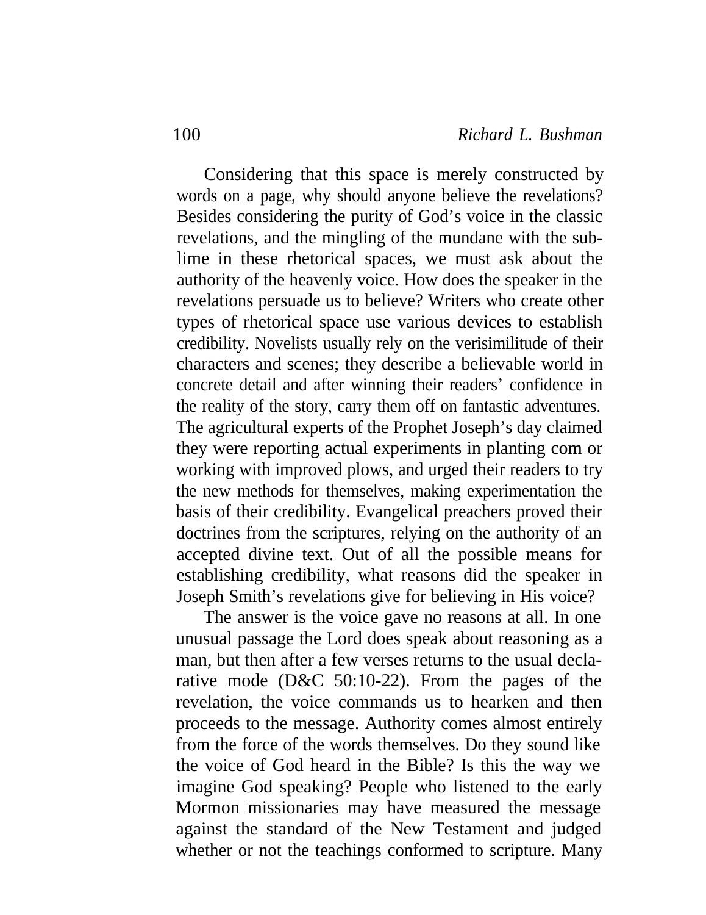Considering that this space is merely constructed by words on a page, why should anyone believe the revelations? Besides considering the purity of God's voice in the classic revelations, and the mingling of the mundane with the sublime in these rhetorical spaces, we must ask about the authority of the heavenly voice. How does the speaker in the revelations persuade us to believe? Writers who create other types of rhetorical space use various devices to establish credibility. Novelists usually rely on the verisimilitude of their characters and scenes; they describe a believable world in concrete detail and after winning their readers' confidence in the reality of the story, carry them off on fantastic adventures. The agricultural experts of the Prophet Joseph's day claimed they were reporting actual experiments in planting com or working with improved plows, and urged their readers to try the new methods for themselves, making experimentation the basis of their credibility. Evangelical preachers proved their doctrines from the scriptures, relying on the authority of an accepted divine text. Out of all the possible means for establishing credibility, what reasons did the speaker in Joseph Smith's revelations give for believing in His voice?

The answer is the voice gave no reasons at all. In one unusual passage the Lord does speak about reasoning as a man, but then after a few verses returns to the usual declarative mode (D&C 50:10-22). From the pages of the revelation, the voice commands us to hearken and then proceeds to the message. Authority comes almost entirely from the force of the words themselves. Do they sound like the voice of God heard in the Bible? Is this the way we imagine God speaking? People who listened to the early Mormon missionaries may have measured the message against the standard of the New Testament and judged whether or not the teachings conformed to scripture. Many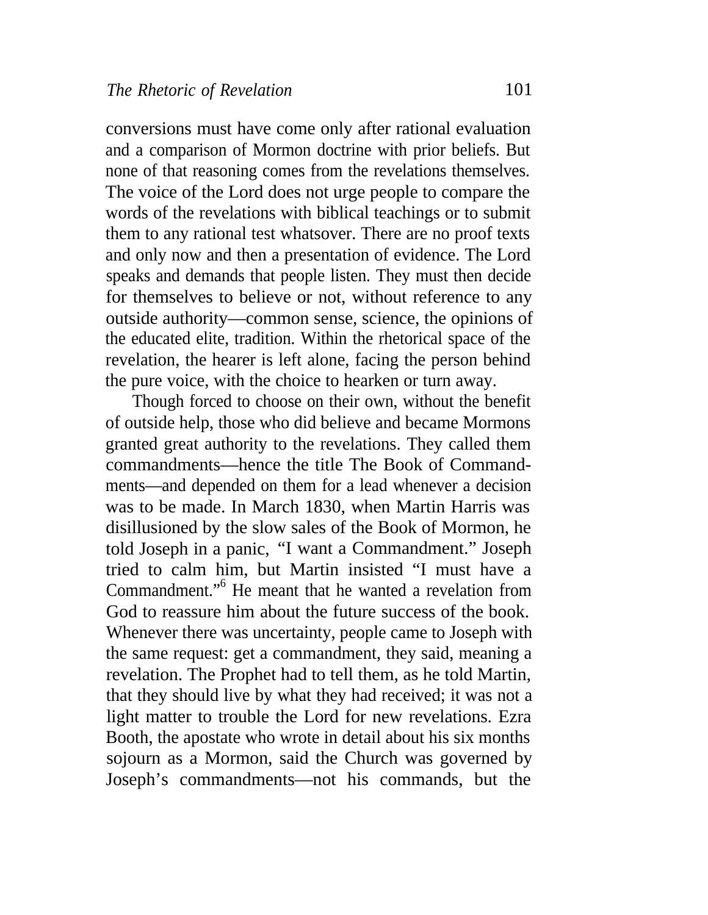conversions must have come only after rational evaluation and a comparison of Mormon doctrine with prior beliefs. But none of that reasoning comes from the revelations themselves. The voice of the Lord does not urge people to compare the words of the revelations with biblical teachings or to submit them to any rational test whatsover. There are no proof texts and only now and then a presentation of evidence. The Lord speaks and demands that people listen. They must then decide for themselves to believe or not, without reference to any outside authority—common sense, science, the opinions of the educated elite, tradition. Within the rhetorical space of the revelation, the hearer is left alone, facing the person behind the pure voice, with the choice to hearken or turn away.

Though forced to choose on their own, without the benefit of outside help, those who did believe and became Mormons granted great authority to the revelations. They called them commandments—hence the title The Book of Commandments—and depended on them for a lead whenever a decision was to be made. In March 1830, when Martin Harris was disillusioned by the slow sales of the Book of Mormon, he told Joseph in a panic, "I want a Commandment." Joseph tried to calm him, but Martin insisted "I must have a Commandment."<sup>6</sup> He meant that he wanted a revelation from God to reassure him about the future success of the book. Whenever there was uncertainty, people came to Joseph with the same request: get a commandment, they said, meaning a revelation. The Prophet had to tell them, as he told Martin, that they should live by what they had received; it was not a light matter to trouble the Lord for new revelations. Ezra Booth, the apostate who wrote in detail about his six months sojourn as a Mormon, said the Church was governed by Joseph's commandments—not his commands, but the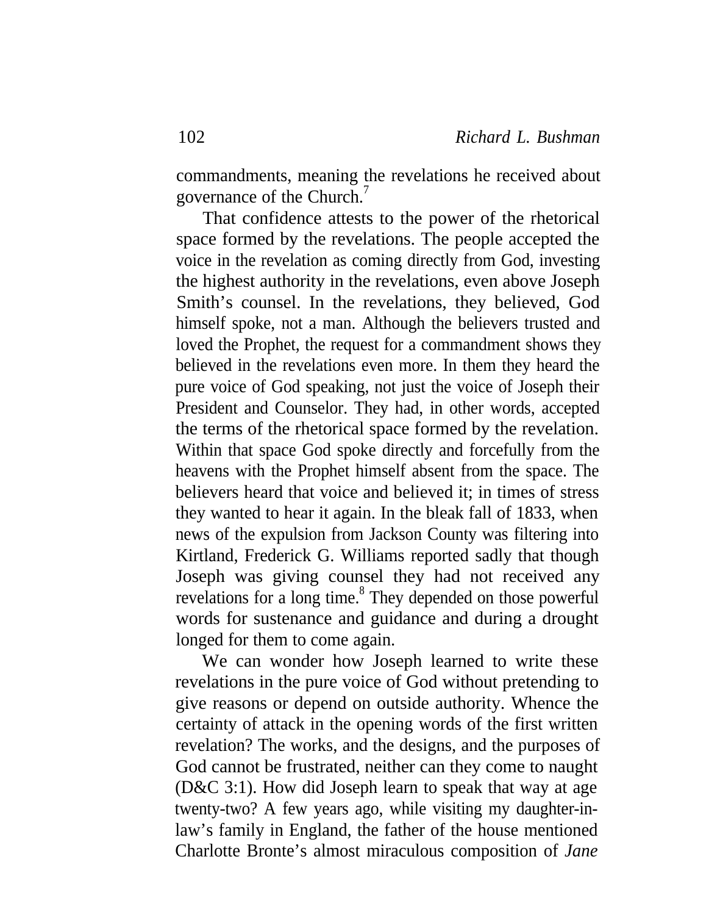commandments, meaning the revelations he received about governance of the Church.<sup>7</sup>

That confidence attests to the power of the rhetorical space formed by the revelations. The people accepted the voice in the revelation as coming directly from God, investing the highest authority in the revelations, even above Joseph Smith's counsel. In the revelations, they believed, God himself spoke, not a man. Although the believers trusted and loved the Prophet, the request for a commandment shows they believed in the revelations even more. In them they heard the pure voice of God speaking, not just the voice of Joseph their President and Counselor. They had, in other words, accepted the terms of the rhetorical space formed by the revelation. Within that space God spoke directly and forcefully from the heavens with the Prophet himself absent from the space. The believers heard that voice and believed it; in times of stress they wanted to hear it again. In the bleak fall of 1833, when news of the expulsion from Jackson County was filtering into Kirtland, Frederick G. Williams reported sadly that though Joseph was giving counsel they had not received any revelations for a long time.<sup>8</sup> They depended on those powerful words for sustenance and guidance and during a drought longed for them to come again.

We can wonder how Joseph learned to write these revelations in the pure voice of God without pretending to give reasons or depend on outside authority. Whence the certainty of attack in the opening words of the first written revelation? The works, and the designs, and the purposes of God cannot be frustrated, neither can they come to naught (D&C 3:1). How did Joseph learn to speak that way at age twenty-two? A few years ago, while visiting my daughter-inlaw's family in England, the father of the house mentioned Charlotte Bronte's almost miraculous composition of *Jane*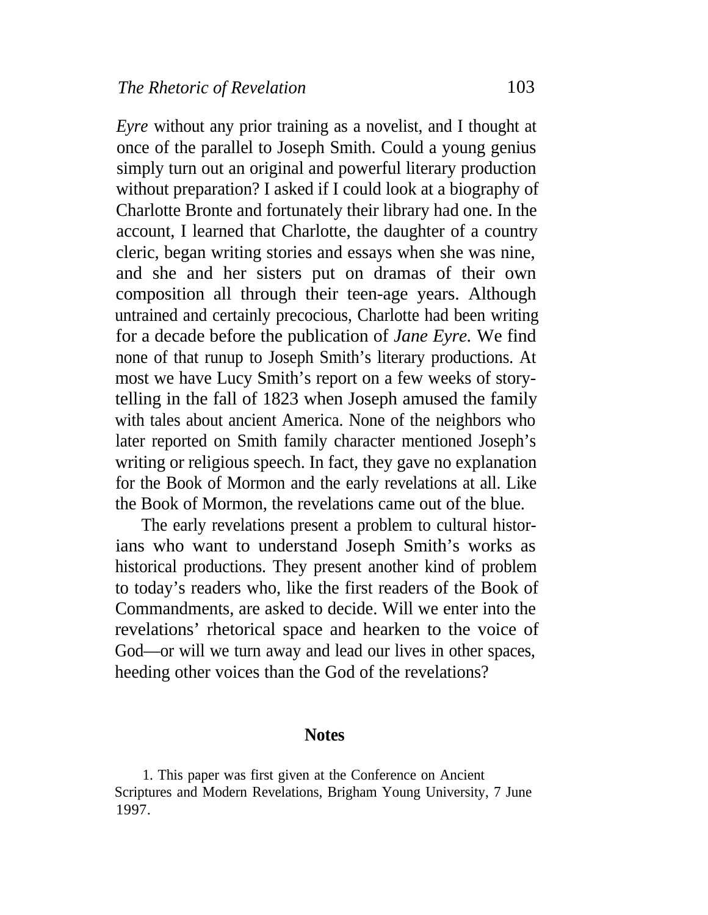*Eyre* without any prior training as a novelist, and I thought at once of the parallel to Joseph Smith. Could a young genius simply turn out an original and powerful literary production without preparation? I asked if I could look at a biography of Charlotte Bronte and fortunately their library had one. In the account, I learned that Charlotte, the daughter of a country cleric, began writing stories and essays when she was nine, and she and her sisters put on dramas of their own composition all through their teen-age years. Although untrained and certainly precocious, Charlotte had been writing for a decade before the publication of *Jane Eyre.* We find none of that runup to Joseph Smith's literary productions. At most we have Lucy Smith's report on a few weeks of storytelling in the fall of 1823 when Joseph amused the family with tales about ancient America. None of the neighbors who later reported on Smith family character mentioned Joseph's writing or religious speech. In fact, they gave no explanation for the Book of Mormon and the early revelations at all. Like the Book of Mormon, the revelations came out of the blue.

The early revelations present a problem to cultural historians who want to understand Joseph Smith's works as historical productions. They present another kind of problem to today's readers who, like the first readers of the Book of Commandments, are asked to decide. Will we enter into the revelations' rhetorical space and hearken to the voice of God—or will we turn away and lead our lives in other spaces, heeding other voices than the God of the revelations?

### **Notes**

1. This paper was first given at the Conference on Ancient Scriptures and Modern Revelations, Brigham Young University, 7 June 1997.